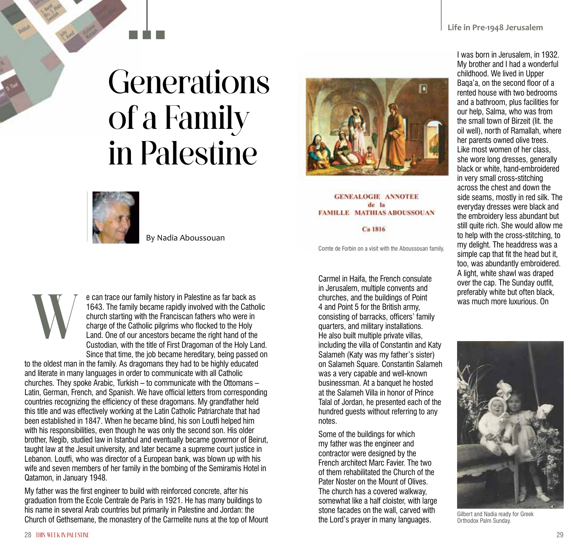## **Generations** of a Family in Palestine



By Nadia Aboussouan



## **GENEALOGIE ANNOTEE** de la **FAMILLE MATHIAS ABOUSSOUAN**

Ca 1816

Comte de Forbin on a visit with the Aboussouan family.

e can trace our family history in Palestine as far back as 1643. The family became rapidly involved with the Catholic church starting with the Franciscan fathers who were in charge of the Catholic pilgrims who flocked to the Holy Land. One of our ancestors became the right hand of the Custodian, with the title of First Dragoman of the Holy Land. Since that time, the job became hereditary, being passed on

to the oldest man in the family. As dragomans they had to be highly educated and literate in many languages in order to communicate with all Catholic churches. They spoke Arabic, Turkish – to communicate with the Ottomans – Latin, German, French, and Spanish. We have official letters from corresponding countries recognizing the efficiency of these dragomans. My grandfather held this title and was effectively working at the Latin Catholic Patriarchate that had been established in 1847. When he became blind, his son Loutfi helped him with his responsibilities, even though he was only the second son. His older brother, Negib, studied law in Istanbul and eventually became governor of Beirut, taught law at the Jesuit university, and later became a supreme court justice in Lebanon. Loutfi, who was director of a European bank, was blown up with his wife and seven members of her family in the bombing of the Semiramis Hotel in Qatamon, in January 1948.

My father was the first engineer to build with reinforced concrete, after his graduation from the Ecole Centrale de Paris in 1921. He has many buildings to his name in several Arab countries but primarily in Palestine and Jordan: the Church of Gethsemane, the monastery of the Carmelite nuns at the top of Mount

Carmel in Haifa, the French consulate in Jerusalem, multiple convents and churches, and the buildings of Point 4 and Point 5 for the British army, consisting of barracks, officers' family quarters, and military installations. He also built multiple private villas, including the villa of Constantin and Katy Salameh (Katy was my father's sister) on Salameh Square. Constantin Salameh was a very capable and well-known businessman. At a banquet he hosted at the Salameh Villa in honor of Prince Talal of Jordan, he presented each of the hundred guests without referring to any notes.

Some of the buildings for which my father was the engineer and contractor were designed by the French architect Marc Favier. The two of them rehabilitated the Church of the Pater Noster on the Mount of Olives. The church has a covered walkway, somewhat like a half cloister, with large stone facades on the wall, carved with the Lord's prayer in many languages.

I was born in Jerusalem, in 1932. My brother and I had a wonderful childhood. We lived in Upper Baqa'a, on the second floor of a rented house with two bedrooms and a bathroom, plus facilities for our help, Salma, who was from the small town of Birzeit (lit. the oil well), north of Ramallah, where her parents owned olive trees. Like most women of her class, she wore long dresses, generally black or white, hand-embroidered in very small cross-stitching across the chest and down the side seams, mostly in red silk. The everyday dresses were black and the embroidery less abundant but still quite rich. She would allow me to help with the cross-stitching, to my delight. The headdress was a simple cap that fit the head but it, too, was abundantly embroidered. A light, white shawl was draped over the cap. The Sunday outfit, preferably white but often black, was much more luxurious. On



Gilbert and Nadia ready for Greek Orthodox Palm Sunday.

W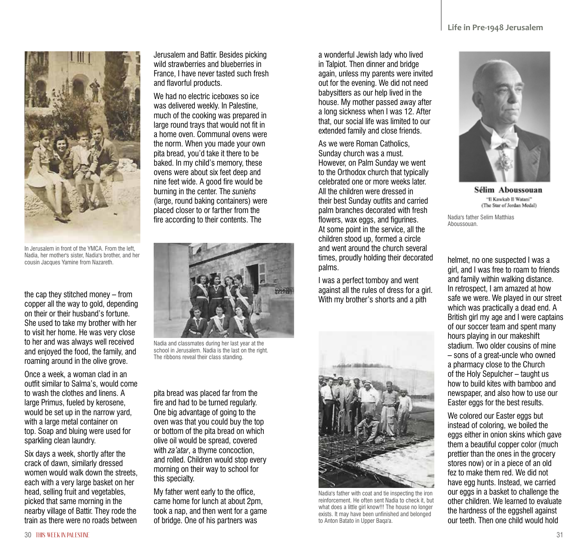

In Jerusalem in front of the YMCA. From the left, Nadia, her mother's sister, Nadia's brother, and her cousin Jacques Yamine from Nazareth.

the cap they stitched money – from copper all the way to gold, depending on their or their husband's fortune. She used to take my brother with her to visit her home. He was very close to her and was always well received and enjoyed the food, the family, and roaming around in the olive grove.

Once a week, a woman clad in an outfit similar to Salma's, would come to wash the clothes and linens. A large Primus, fueled by kerosene, would be set up in the narrow yard, with a large metal container on top. Soap and bluing were used for sparkling clean laundry.

Six days a week, shortly after the crack of dawn, similarly dressed women would walk down the streets, each with a very large basket on her head, selling fruit and vegetables, picked that same morning in the nearby village of Battir. They rode the train as there were no roads between

Jerusalem and Battir. Besides picking wild strawberries and blueberries in France, I have never tasted such fresh and flavorful products.

We had no electric iceboxes so ice was delivered weekly. In Palestine, much of the cooking was prepared in large round trays that would not fit in a home oven. Communal ovens were the norm. When you made your own pita bread, you'd take it there to be baked. In my child's memory, these ovens were about six feet deep and nine feet wide. A good fire would be burning in the center. The *suniehs* (large, round baking containers) were placed closer to or farther from the fire according to their contents. The



Nadia and classmates during her last year at the school in Jerusalem. Nadia is the last on the right. The ribbons reveal their class standing.

pita bread was placed far from the fire and had to be turned regularly. One big advantage of going to the oven was that you could buy the top or bottom of the pita bread on which olive oil would be spread, covered with *za'atar*, a thyme concoction, and rolled. Children would stop every morning on their way to school for this specialty.

My father went early to the office, came home for lunch at about 2pm, took a nap, and then went for a game of bridge. One of his partners was

a wonderful Jewish lady who lived in Talpiot. Then dinner and bridge again, unless my parents were invited out for the evening. We did not need babysitters as our help lived in the house. My mother passed away after a long sickness when I was 12. After that, our social life was limited to our extended family and close friends.

As we were Roman Catholics, Sunday church was a must. However, on Palm Sunday we went to the Orthodox church that typically celebrated one or more weeks later. All the children were dressed in their best Sunday outfits and carried palm branches decorated with fresh flowers, wax eggs, and figurines. At some point in the service, all the children stood up, formed a circle and went around the church several times, proudly holding their decorated palms.

I was a perfect tomboy and went against all the rules of dress for a girl. With my brother's shorts and a pith



Nadia's father with coat and tie inspecting the iron reinforcement. He often sent Nadia to check it, but what does a little girl know!!! The house no longer exists. It may have been unfinished and belonged to Anton Batato in Upper Baqa'a.



Sélim Aboussouan 'Il Kawkab Il Watani' (The Star of Jordan Medal)

Nadia's father Selim Matthias Aboussouan.

helmet, no one suspected I was a girl, and I was free to roam to friends and family within walking distance. In retrospect, I am amazed at how safe we were. We played in our street which was practically a dead end. A British girl my age and I were captains of our soccer team and spent many hours playing in our makeshift stadium. Two older cousins of mine – sons of a great-uncle who owned a pharmacy close to the Church of the Holy Sepulcher – taught us how to build kites with bamboo and newspaper, and also how to use our Easter eggs for the best results.

We colored our Easter eggs but instead of coloring, we boiled the eggs either in onion skins which gave them a beautiful copper color (much prettier than the ones in the grocery stores now) or in a piece of an old fez to make them red. We did not have egg hunts. Instead, we carried our eggs in a basket to challenge the other children. We learned to evaluate the hardness of the eggshell against our teeth. Then one child would hold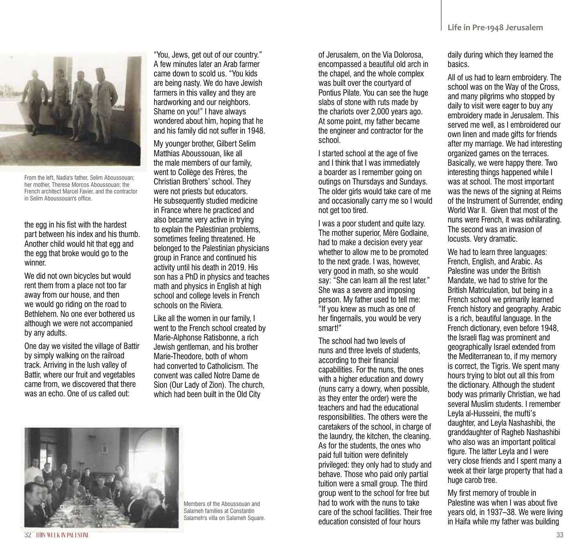

From the left, Nadia's father, Selim Aboussouan; her mother, Therese Morcos Aboussouan; the French architect Marcel Favier, and the contractor in Selim Aboussouan's office.

the egg in his fist with the hardest part between his index and his thumb. Another child would hit that egg and the egg that broke would go to the winner.

We did not own bicycles but would rent them from a place not too far away from our house, and then we would go riding on the road to Bethlehem. No one ever bothered us although we were not accompanied by any adults.

One day we visited the village of Battir by simply walking on the railroad track. Arriving in the lush valley of Battir, where our fruit and vegetables came from, we discovered that there was an echo. One of us called out:

"You, Jews, get out of our country." A few minutes later an Arab farmer came down to scold us. "You kids are being nasty. We do have Jewish farmers in this valley and they are hardworking and our neighbors. Shame on you!" I have always wondered about him, hoping that he and his family did not suffer in 1948.

My younger brother, Gilbert Selim Matthias Aboussouan, like all the male members of our family, went to Collège des Frères, the Christian Brothers' school. They were not priests but educators. He subsequently studied medicine in France where he practiced and also became very active in trying to explain the Palestinian problems, sometimes feeling threatened. He belonged to the Palestinian physicians group in France and continued his activity until his death in 2019. His son has a PhD in physics and teaches math and physics in English at high school and college levels in French schools on the Riviera.

Like all the women in our family, I went to the French school created by Marie-Alphonse Ratisbonne, a rich Jewish gentleman, and his brother Marie-Theodore, both of whom had converted to Catholicism. The convent was called Notre Dame de Sion (Our Lady of Zion). The church, which had been built in the Old City



I started school at the age of five and I think that I was immediately a boarder as I remember going on outings on Thursdays and Sundays. The older girls would take care of me and occasionally carry me so I would not get too tired.

I was a poor student and quite lazy. The mother superior, Mère Godlaine, had to make a decision every year whether to allow me to be promoted to the next grade. I was, however, very good in math, so she would say: "She can learn all the rest later." She was a severe and imposing person. My father used to tell me: "If you knew as much as one of her fingernails, you would be very smart!"

The school had two levels of nuns and three levels of students, according to their financial capabilities. For the nuns, the ones with a higher education and dowry (nuns carry a dowry, when possible, as they enter the order) were the teachers and had the educational responsibilities. The others were the caretakers of the school, in charge of the laundry, the kitchen, the cleaning. As for the students, the ones who paid full tuition were definitely privileged: they only had to study and behave. Those who paid only partial tuition were a small group. The third group went to the school for free but had to work with the nuns to take care of the school facilities. Their free education consisted of four hours

daily during which they learned the basics.

All of us had to learn embroidery. The school was on the Way of the Cross, and many pilgrims who stopped by daily to visit were eager to buy any embroidery made in Jerusalem. This served me well, as I embroidered our own linen and made gifts for friends after my marriage. We had interesting organized games on the terraces. Basically, we were happy there. Two interesting things happened while I was at school. The most important was the news of the signing at Reims of the Instrument of Surrender, ending World War II. Given that most of the nuns were French, it was exhilarating. The second was an invasion of locusts. Very dramatic.

We had to learn three languages: French, English, and Arabic. As Palestine was under the British Mandate, we had to strive for the British Matriculation, but being in a French school we primarily learned French history and geography. Arabic is a rich, beautiful language. In the French dictionary, even before 1948, the Israeli flag was prominent and geographically Israel extended from the Mediterranean to, if my memory is correct, the Tigris. We spent many hours trying to blot out all this from the dictionary. Although the student body was primarily Christian, we had several Muslim students. I remember Leyla al-Husseini, the mufti's daughter, and Leyla Nashashibi, the granddaughter of Ragheb Nashashibi who also was an important political figure. The latter Leyla and I were very close friends and I spent many a week at their large property that had a huge carob tree.

My first memory of trouble in Palestine was when I was about five years old, in 1937–38. We were living in Haifa while my father was building



Members of the Aboussouan and Salameh families at Constantin Salameh's villa on Salameh Square.